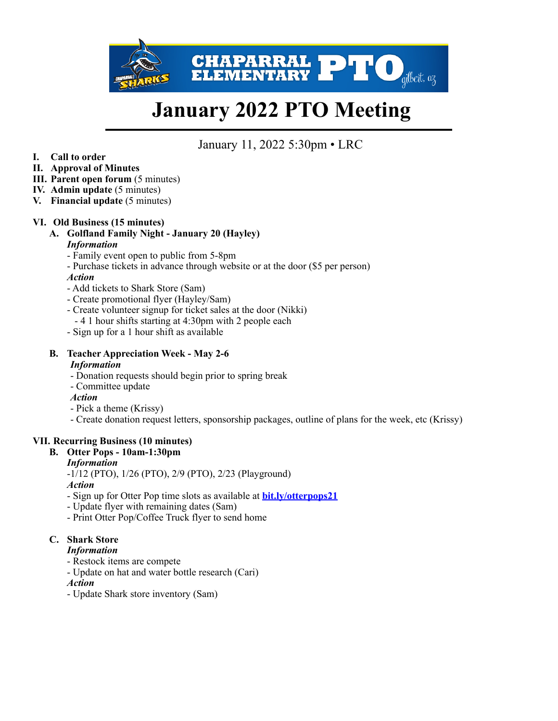

# **January 2022 PTO Meeting**

# January 11, 2022 5:30pm • LRC

- **I. Call to order**
- **II. Approval of Minutes**
- **III. Parent open forum** (5 minutes)
- **IV. Admin update** (5 minutes)
- **V. Financial update** (5 minutes)

# **VI. Old Business (15 minutes)**

- **A. Golfland Family Night January 20 (Hayley)**  *Information* 
	- Family event open to public from 5-8pm
	- Purchase tickets in advance through website or at the door (\$5 per person)

# *Action*

- Add tickets to Shark Store (Sam)
- Create promotional flyer (Hayley/Sam)
- Create volunteer signup for ticket sales at the door (Nikki)
- 4 1 hour shifts starting at 4:30pm with 2 people each
- Sign up for a 1 hour shift as available

#### **B. Teacher Appreciation Week - May 2-6**

### *Information*

- Donation requests should begin prior to spring break
- Committee update

#### *Action*

- Pick a theme (Krissy)
- Create donation request letters, sponsorship packages, outline of plans for the week, etc (Krissy)

# **VII. Recurring Business (10 minutes)**

#### **B. Otter Pops - 10am-1:30pm**

#### *Information*

-1/12 (PTO), 1/26 (PTO), 2/9 (PTO), 2/23 (Playground)

# *Action*

- Sign up for Otter Pop time slots as available at **[bit.ly/otterpops21](http://bit.ly/otterpops21)**
- Update flyer with remaining dates (Sam)
- Print Otter Pop/Coffee Truck flyer to send home

# **C. Shark Store**

#### *Information*

- Restock items are compete
- Update on hat and water bottle research (Cari)

#### *Action*

- Update Shark store inventory (Sam)